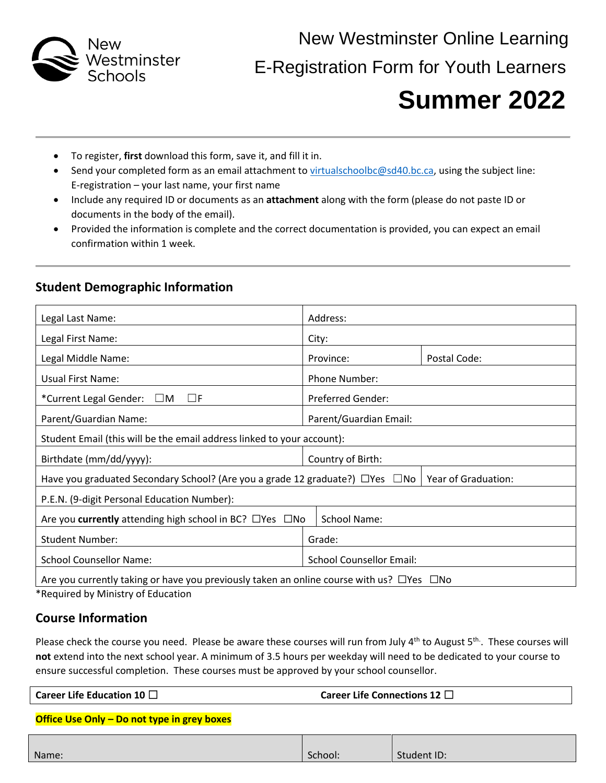

New Westminster Online Learning E-Registration Form for Youth Learners

# **Summer 2022**

- To register, **first** download this form, save it, and fill it in.
- Send your completed form as an email attachment to [virtualschoolbc@sd40.bc.ca,](mailto:virtualschoolbc@sd40.bc.ca) using the subject line: E-registration – your last name, your first name
- Include any required ID or documents as an **attachment** along with the form (please do not paste ID or documents in the body of the email).
- Provided the information is complete and the correct documentation is provided, you can expect an email confirmation within 1 week.

## **Student Demographic Information**

| Legal Last Name:                                                                                               | Address:                        |              |  |
|----------------------------------------------------------------------------------------------------------------|---------------------------------|--------------|--|
| Legal First Name:                                                                                              | City:                           |              |  |
| Legal Middle Name:                                                                                             | Province:                       | Postal Code: |  |
| Usual First Name:                                                                                              | Phone Number:                   |              |  |
| *Current Legal Gender: $\Box$ M<br>$\sqcup$ F                                                                  | <b>Preferred Gender:</b>        |              |  |
| Parent/Guardian Name:                                                                                          | Parent/Guardian Email:          |              |  |
| Student Email (this will be the email address linked to your account):                                         |                                 |              |  |
| Birthdate (mm/dd/yyyy):                                                                                        | Country of Birth:               |              |  |
| Have you graduated Secondary School? (Are you a grade 12 graduate?) $\Box$ Yes $\Box$ No   Year of Graduation: |                                 |              |  |
| P.E.N. (9-digit Personal Education Number):                                                                    |                                 |              |  |
| Are you <b>currently</b> attending high school in BC? $\Box$ Yes $\Box$ No                                     | School Name:                    |              |  |
| <b>Student Number:</b>                                                                                         | Grade:                          |              |  |
| <b>School Counsellor Name:</b>                                                                                 | <b>School Counsellor Email:</b> |              |  |
| Are you currently taking or have you previously taken an online course with us? $\Box$ Yes $\Box$ No           |                                 |              |  |

\*Required by Ministry of Education

## **Course Information**

Please check the course you need. Please be aware these courses will run from July 4<sup>th</sup> to August 5<sup>th</sup>. These courses will **not** extend into the next school year. A minimum of 3.5 hours per weekday will need to be dedicated to your course to ensure successful completion. These courses must be approved by your school counsellor.

#### **Office Use Only – Do not type in grey boxes**

| Name: | School: | Student ID: |
|-------|---------|-------------|